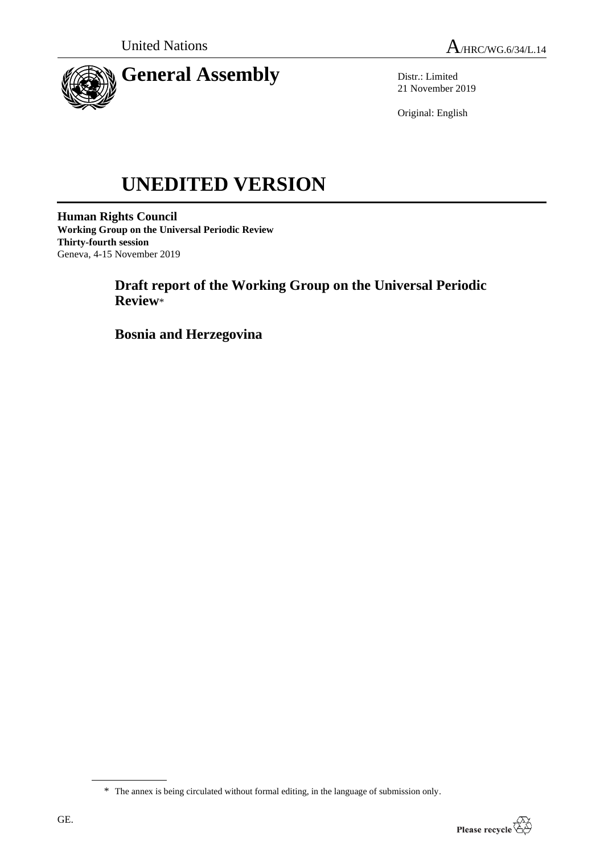

Distr.: Limited 21 November 2019

Original: English

# **UNEDITED VERSION**

**Human Rights Council Working Group on the Universal Periodic Review Thirty-fourth session** Geneva, 4-15 November 2019

> **Draft report of the Working Group on the Universal Periodic Review**\*

**Bosnia and Herzegovina**

<sup>\*</sup> The annex is being circulated without formal editing, in the language of submission only.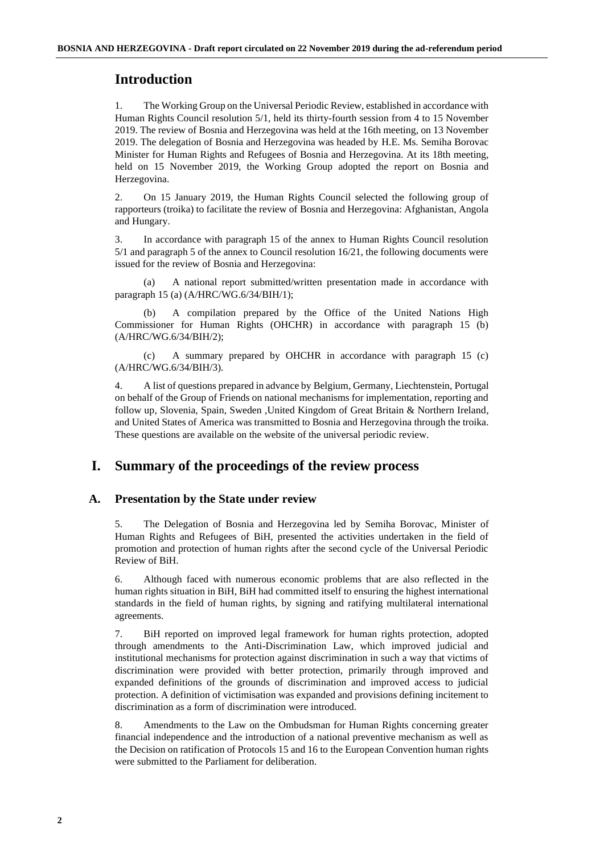# **Introduction**

1. The Working Group on the Universal Periodic Review, established in accordance with Human Rights Council resolution 5/1, held its thirty-fourth session from 4 to 15 November 2019. The review of Bosnia and Herzegovina was held at the 16th meeting, on 13 November 2019. The delegation of Bosnia and Herzegovina was headed by H.E. Ms. Semiha Borovac Minister for Human Rights and Refugees of Bosnia and Herzegovina. At its 18th meeting, held on 15 November 2019, the Working Group adopted the report on Bosnia and Herzegovina.

2. On 15 January 2019, the Human Rights Council selected the following group of rapporteurs (troika) to facilitate the review of Bosnia and Herzegovina: Afghanistan, Angola and Hungary.

3. In accordance with paragraph 15 of the annex to Human Rights Council resolution 5/1 and paragraph 5 of the annex to Council resolution 16/21, the following documents were issued for the review of Bosnia and Herzegovina:

(a) A national report submitted/written presentation made in accordance with paragraph 15 (a) (A/HRC/WG.6/34/BIH/1);

(b) A compilation prepared by the Office of the United Nations High Commissioner for Human Rights (OHCHR) in accordance with paragraph 15 (b) (A/HRC/WG.6/34/BIH/2);

(c) A summary prepared by OHCHR in accordance with paragraph 15 (c) (A/HRC/WG.6/34/BIH/3).

4. A list of questions prepared in advance by Belgium, Germany, Liechtenstein, Portugal on behalf of the Group of Friends on national mechanisms for implementation, reporting and follow up, Slovenia, Spain, Sweden ,United Kingdom of Great Britain & Northern Ireland, and United States of America was transmitted to Bosnia and Herzegovina through the troika. These questions are available on the website of the universal periodic review.

## **I. Summary of the proceedings of the review process**

## **A. Presentation by the State under review**

5. The Delegation of Bosnia and Herzegovina led by Semiha Borovac, Minister of Human Rights and Refugees of BiH, presented the activities undertaken in the field of promotion and protection of human rights after the second cycle of the Universal Periodic Review of BiH.

6. Although faced with numerous economic problems that are also reflected in the human rights situation in BiH, BiH had committed itself to ensuring the highest international standards in the field of human rights, by signing and ratifying multilateral international agreements.

7. BiH reported on improved legal framework for human rights protection, adopted through amendments to the Anti-Discrimination Law, which improved judicial and institutional mechanisms for protection against discrimination in such a way that victims of discrimination were provided with better protection, primarily through improved and expanded definitions of the grounds of discrimination and improved access to judicial protection. A definition of victimisation was expanded and provisions defining incitement to discrimination as a form of discrimination were introduced.

8. Amendments to the Law on the Ombudsman for Human Rights concerning greater financial independence and the introduction of a national preventive mechanism as well as the Decision on ratification of Protocols 15 and 16 to the European Convention human rights were submitted to the Parliament for deliberation.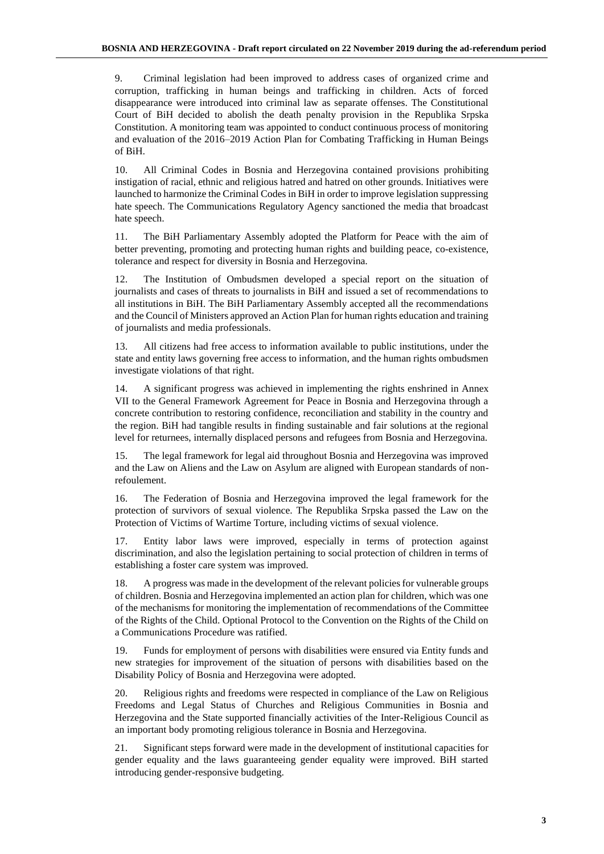9. Criminal legislation had been improved to address cases of organized crime and corruption, trafficking in human beings and trafficking in children. Acts of forced disappearance were introduced into criminal law as separate offenses. The Constitutional Court of BiH decided to abolish the death penalty provision in the Republika Srpska Constitution. A monitoring team was appointed to conduct continuous process of monitoring and evaluation of the 2016–2019 Action Plan for Combating Trafficking in Human Beings of BiH.

10. All Criminal Codes in Bosnia and Herzegovina contained provisions prohibiting instigation of racial, ethnic and religious hatred and hatred on other grounds. Initiatives were launched to harmonize the Criminal Codes in BiH in order to improve legislation suppressing hate speech. The Communications Regulatory Agency sanctioned the media that broadcast hate speech.

11. The BiH Parliamentary Assembly adopted the Platform for Peace with the aim of better preventing, promoting and protecting human rights and building peace, co-existence, tolerance and respect for diversity in Bosnia and Herzegovina.

12. The Institution of Ombudsmen developed a special report on the situation of journalists and cases of threats to journalists in BiH and issued a set of recommendations to all institutions in BiH. The BiH Parliamentary Assembly accepted all the recommendations and the Council of Ministers approved an Action Plan for human rights education and training of journalists and media professionals.

13. All citizens had free access to information available to public institutions, under the state and entity laws governing free access to information, and the human rights ombudsmen investigate violations of that right.

14. A significant progress was achieved in implementing the rights enshrined in Annex VII to the General Framework Agreement for Peace in Bosnia and Herzegovina through a concrete contribution to restoring confidence, reconciliation and stability in the country and the region. BiH had tangible results in finding sustainable and fair solutions at the regional level for returnees, internally displaced persons and refugees from Bosnia and Herzegovina.

15. The legal framework for legal aid throughout Bosnia and Herzegovina was improved and the Law on Aliens and the Law on Asylum are aligned with European standards of nonrefoulement.

16. The Federation of Bosnia and Herzegovina improved the legal framework for the protection of survivors of sexual violence. The Republika Srpska passed the Law on the Protection of Victims of Wartime Torture, including victims of sexual violence.

17. Entity labor laws were improved, especially in terms of protection against discrimination, and also the legislation pertaining to social protection of children in terms of establishing a foster care system was improved.

18. A progress was made in the development of the relevant policies for vulnerable groups of children. Bosnia and Herzegovina implemented an action plan for children, which was one of the mechanisms for monitoring the implementation of recommendations of the Committee of the Rights of the Child. Optional Protocol to the Convention on the Rights of the Child on a Communications Procedure was ratified.

19. Funds for employment of persons with disabilities were ensured via Entity funds and new strategies for improvement of the situation of persons with disabilities based on the Disability Policy of Bosnia and Herzegovina were adopted.

20. Religious rights and freedoms were respected in compliance of the Law on Religious Freedoms and Legal Status of Churches and Religious Communities in Bosnia and Herzegovina and the State supported financially activities of the Inter-Religious Council as an important body promoting religious tolerance in Bosnia and Herzegovina.

21. Significant steps forward were made in the development of institutional capacities for gender equality and the laws guaranteeing gender equality were improved. BiH started introducing gender-responsive budgeting.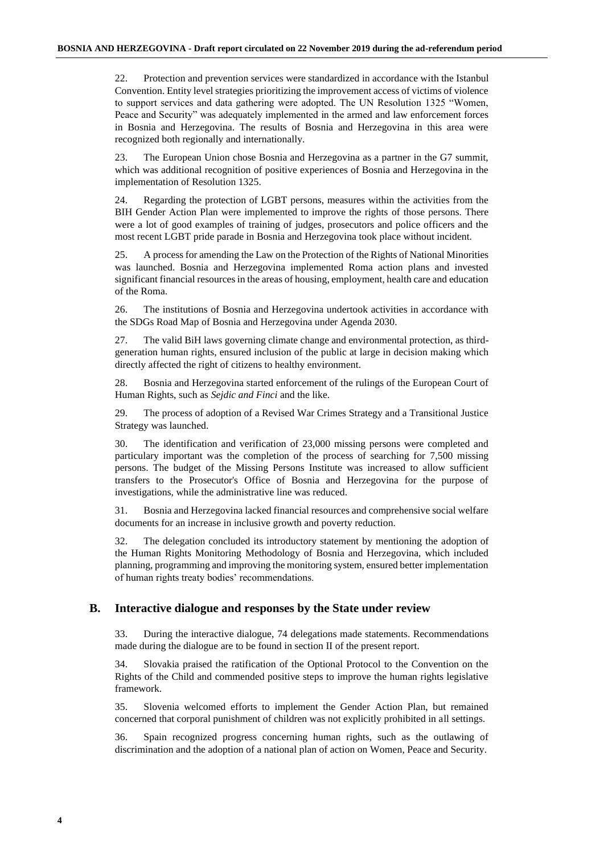22. Protection and prevention services were standardized in accordance with the Istanbul Convention. Entity level strategies prioritizing the improvement access of victims of violence to support services and data gathering were adopted. The UN Resolution 1325 "Women, Peace and Security" was adequately implemented in the armed and law enforcement forces in Bosnia and Herzegovina. The results of Bosnia and Herzegovina in this area were recognized both regionally and internationally.

23. The European Union chose Bosnia and Herzegovina as a partner in the G7 summit, which was additional recognition of positive experiences of Bosnia and Herzegovina in the implementation of Resolution 1325.

24. Regarding the protection of LGBT persons, measures within the activities from the BIH Gender Action Plan were implemented to improve the rights of those persons. There were a lot of good examples of training of judges, prosecutors and police officers and the most recent LGBT pride parade in Bosnia and Herzegovina took place without incident.

25. A process for amending the Law on the Protection of the Rights of National Minorities was launched. Bosnia and Herzegovina implemented Roma action plans and invested significant financial resources in the areas of housing, employment, health care and education of the Roma.

26. The institutions of Bosnia and Herzegovina undertook activities in accordance with the SDGs Road Map of Bosnia and Herzegovina under Agenda 2030.

27. The valid BiH laws governing climate change and environmental protection, as thirdgeneration human rights, ensured inclusion of the public at large in decision making which directly affected the right of citizens to healthy environment.

28. Bosnia and Herzegovina started enforcement of the rulings of the European Court of Human Rights, such as *Sejdic and Finci* and the like.

29. The process of adoption of a Revised War Crimes Strategy and a Transitional Justice Strategy was launched.

30. The identification and verification of 23,000 missing persons were completed and particulary important was the completion of the process of searching for 7,500 missing persons. The budget of the Missing Persons Institute was increased to allow sufficient transfers to the Prosecutor's Office of Bosnia and Herzegovina for the purpose of investigations, while the administrative line was reduced.

31. Bosnia and Herzegovina lacked financial resources and comprehensive social welfare documents for an increase in inclusive growth and poverty reduction.

32. The delegation concluded its introductory statement by mentioning the adoption of the Human Rights Monitoring Methodology of Bosnia and Herzegovina, which included planning, programming and improving the monitoring system, ensured better implementation of human rights treaty bodies' recommendations.

#### **B. Interactive dialogue and responses by the State under review**

33. During the interactive dialogue, 74 delegations made statements. Recommendations made during the dialogue are to be found in section II of the present report.

34. Slovakia praised the ratification of the Optional Protocol to the Convention on the Rights of the Child and commended positive steps to improve the human rights legislative framework.

35. Slovenia welcomed efforts to implement the Gender Action Plan, but remained concerned that corporal punishment of children was not explicitly prohibited in all settings.

36. Spain recognized progress concerning human rights, such as the outlawing of discrimination and the adoption of a national plan of action on Women, Peace and Security.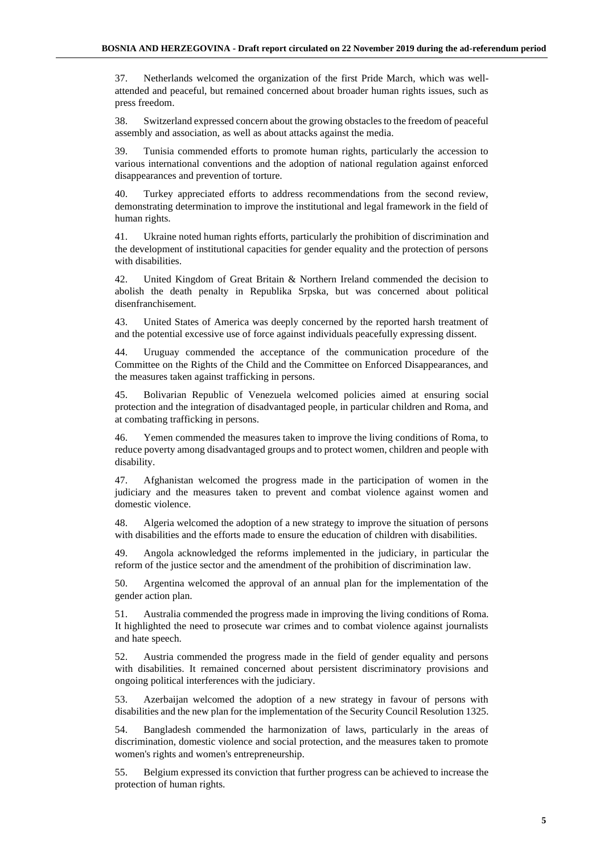37. Netherlands welcomed the organization of the first Pride March, which was wellattended and peaceful, but remained concerned about broader human rights issues, such as press freedom.

38. Switzerland expressed concern about the growing obstacles to the freedom of peaceful assembly and association, as well as about attacks against the media.

39. Tunisia commended efforts to promote human rights, particularly the accession to various international conventions and the adoption of national regulation against enforced disappearances and prevention of torture.

40. Turkey appreciated efforts to address recommendations from the second review, demonstrating determination to improve the institutional and legal framework in the field of human rights.

41. Ukraine noted human rights efforts, particularly the prohibition of discrimination and the development of institutional capacities for gender equality and the protection of persons with disabilities.

42. United Kingdom of Great Britain & Northern Ireland commended the decision to abolish the death penalty in Republika Srpska, but was concerned about political disenfranchisement.

43. United States of America was deeply concerned by the reported harsh treatment of and the potential excessive use of force against individuals peacefully expressing dissent.

44. Uruguay commended the acceptance of the communication procedure of the Committee on the Rights of the Child and the Committee on Enforced Disappearances, and the measures taken against trafficking in persons.

45. Bolivarian Republic of Venezuela welcomed policies aimed at ensuring social protection and the integration of disadvantaged people, in particular children and Roma, and at combating trafficking in persons.

46. Yemen commended the measures taken to improve the living conditions of Roma, to reduce poverty among disadvantaged groups and to protect women, children and people with disability.

47. Afghanistan welcomed the progress made in the participation of women in the judiciary and the measures taken to prevent and combat violence against women and domestic violence.

48. Algeria welcomed the adoption of a new strategy to improve the situation of persons with disabilities and the efforts made to ensure the education of children with disabilities.

49. Angola acknowledged the reforms implemented in the judiciary, in particular the reform of the justice sector and the amendment of the prohibition of discrimination law.

50. Argentina welcomed the approval of an annual plan for the implementation of the gender action plan.

51. Australia commended the progress made in improving the living conditions of Roma. It highlighted the need to prosecute war crimes and to combat violence against journalists and hate speech.

52. Austria commended the progress made in the field of gender equality and persons with disabilities. It remained concerned about persistent discriminatory provisions and ongoing political interferences with the judiciary.

53. Azerbaijan welcomed the adoption of a new strategy in favour of persons with disabilities and the new plan for the implementation of the Security Council Resolution 1325.

54. Bangladesh commended the harmonization of laws, particularly in the areas of discrimination, domestic violence and social protection, and the measures taken to promote women's rights and women's entrepreneurship.

55. Belgium expressed its conviction that further progress can be achieved to increase the protection of human rights.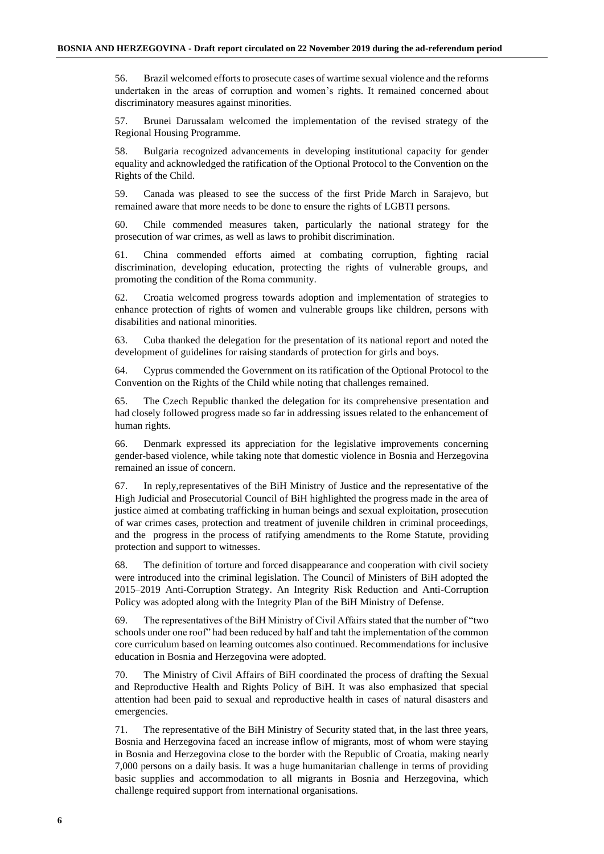56. Brazil welcomed efforts to prosecute cases of wartime sexual violence and the reforms undertaken in the areas of corruption and women's rights. It remained concerned about discriminatory measures against minorities.

57. Brunei Darussalam welcomed the implementation of the revised strategy of the Regional Housing Programme.

58. Bulgaria recognized advancements in developing institutional capacity for gender equality and acknowledged the ratification of the Optional Protocol to the Convention on the Rights of the Child.

59. Canada was pleased to see the success of the first Pride March in Sarajevo, but remained aware that more needs to be done to ensure the rights of LGBTI persons.

60. Chile commended measures taken, particularly the national strategy for the prosecution of war crimes, as well as laws to prohibit discrimination.

61. China commended efforts aimed at combating corruption, fighting racial discrimination, developing education, protecting the rights of vulnerable groups, and promoting the condition of the Roma community.

62. Croatia welcomed progress towards adoption and implementation of strategies to enhance protection of rights of women and vulnerable groups like children, persons with disabilities and national minorities.

63. Cuba thanked the delegation for the presentation of its national report and noted the development of guidelines for raising standards of protection for girls and boys.

64. Cyprus commended the Government on its ratification of the Optional Protocol to the Convention on the Rights of the Child while noting that challenges remained.

65. The Czech Republic thanked the delegation for its comprehensive presentation and had closely followed progress made so far in addressing issues related to the enhancement of human rights.

66. Denmark expressed its appreciation for the legislative improvements concerning gender-based violence, while taking note that domestic violence in Bosnia and Herzegovina remained an issue of concern.

67. In reply,representatives of the BiH Ministry of Justice and the representative of the High Judicial and Prosecutorial Council of BiH highlighted the progress made in the area of justice aimed at combating trafficking in human beings and sexual exploitation, prosecution of war crimes cases, protection and treatment of juvenile children in criminal proceedings, and the progress in the process of ratifying amendments to the Rome Statute, providing protection and support to witnesses.

68. The definition of torture and forced disappearance and cooperation with civil society were introduced into the criminal legislation. The Council of Ministers of BiH adopted the 2015–2019 Anti-Corruption Strategy. An Integrity Risk Reduction and Anti-Corruption Policy was adopted along with the Integrity Plan of the BiH Ministry of Defense.

69. The representatives of the BiH Ministry of Civil Affairs stated that the number of "two schools under one roof" had been reduced by half and taht the implementation of the common core curriculum based on learning outcomes also continued. Recommendations for inclusive education in Bosnia and Herzegovina were adopted.

70. The Ministry of Civil Affairs of BiH coordinated the process of drafting the Sexual and Reproductive Health and Rights Policy of BiH. It was also emphasized that special attention had been paid to sexual and reproductive health in cases of natural disasters and emergencies.

71. The representative of the BiH Ministry of Security stated that, in the last three years, Bosnia and Herzegovina faced an increase inflow of migrants, most of whom were staying in Bosnia and Herzegovina close to the border with the Republic of Croatia, making nearly 7,000 persons on a daily basis. It was a huge humanitarian challenge in terms of providing basic supplies and accommodation to all migrants in Bosnia and Herzegovina, which challenge required support from international organisations.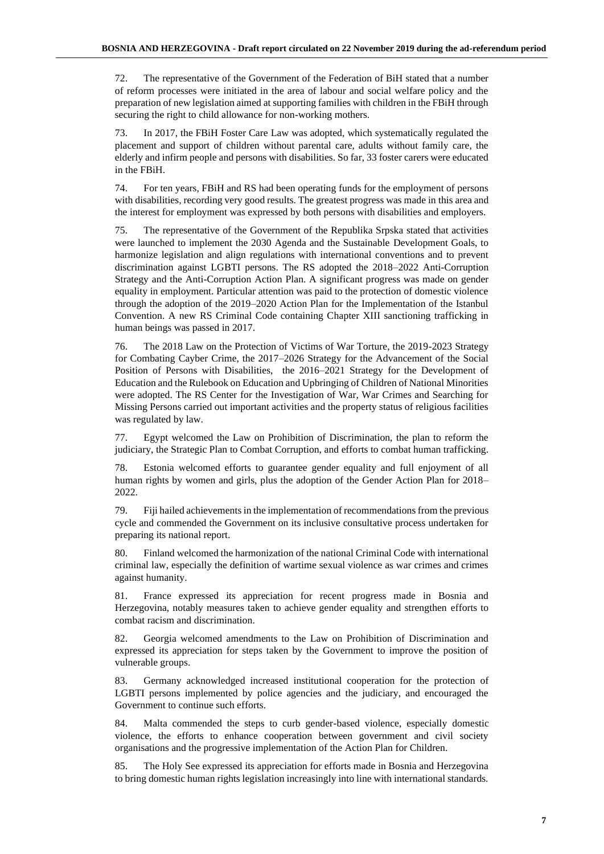72. The representative of the Government of the Federation of BiH stated that a number of reform processes were initiated in the area of labour and social welfare policy and the preparation of new legislation aimed at supporting families with children in the FBiH through securing the right to child allowance for non-working mothers.

73. In 2017, the FBiH Foster Care Law was adopted, which systematically regulated the placement and support of children without parental care, adults without family care, the elderly and infirm people and persons with disabilities. So far, 33 foster carers were educated in the FBiH.

74. For ten years, FBiH and RS had been operating funds for the employment of persons with disabilities, recording very good results. The greatest progress was made in this area and the interest for employment was expressed by both persons with disabilities and employers.

75. The representative of the Government of the Republika Srpska stated that activities were launched to implement the 2030 Agenda and the Sustainable Development Goals, to harmonize legislation and align regulations with international conventions and to prevent discrimination against LGBTI persons. The RS adopted the 2018–2022 Anti-Corruption Strategy and the Anti-Corruption Action Plan. A significant progress was made on gender equality in employment. Particular attention was paid to the protection of domestic violence through the adoption of the 2019–2020 Action Plan for the Implementation of the Istanbul Convention. A new RS Criminal Code containing Chapter XIII sanctioning trafficking in human beings was passed in 2017.

76. The 2018 Law on the Protection of Victims of War Torture, the 2019-2023 Strategy for Combating Cayber Crime, the 2017–2026 Strategy for the Advancement of the Social Position of Persons with Disabilities, the 2016–2021 Strategy for the Development of Education and the Rulebook on Education and Upbringing of Children of National Minorities were adopted. The RS Center for the Investigation of War, War Crimes and Searching for Missing Persons carried out important activities and the property status of religious facilities was regulated by law.

77. Egypt welcomed the Law on Prohibition of Discrimination, the plan to reform the judiciary, the Strategic Plan to Combat Corruption, and efforts to combat human trafficking.

78. Estonia welcomed efforts to guarantee gender equality and full enjoyment of all human rights by women and girls, plus the adoption of the Gender Action Plan for 2018– 2022.

79. Fiji hailed achievements in the implementation of recommendations from the previous cycle and commended the Government on its inclusive consultative process undertaken for preparing its national report.

80. Finland welcomed the harmonization of the national Criminal Code with international criminal law, especially the definition of wartime sexual violence as war crimes and crimes against humanity.

81. France expressed its appreciation for recent progress made in Bosnia and Herzegovina, notably measures taken to achieve gender equality and strengthen efforts to combat racism and discrimination.

82. Georgia welcomed amendments to the Law on Prohibition of Discrimination and expressed its appreciation for steps taken by the Government to improve the position of vulnerable groups.

83. Germany acknowledged increased institutional cooperation for the protection of LGBTI persons implemented by police agencies and the judiciary, and encouraged the Government to continue such efforts.

84. Malta commended the steps to curb gender-based violence, especially domestic violence, the efforts to enhance cooperation between government and civil society organisations and the progressive implementation of the Action Plan for Children.

85. The Holy See expressed its appreciation for efforts made in Bosnia and Herzegovina to bring domestic human rights legislation increasingly into line with international standards.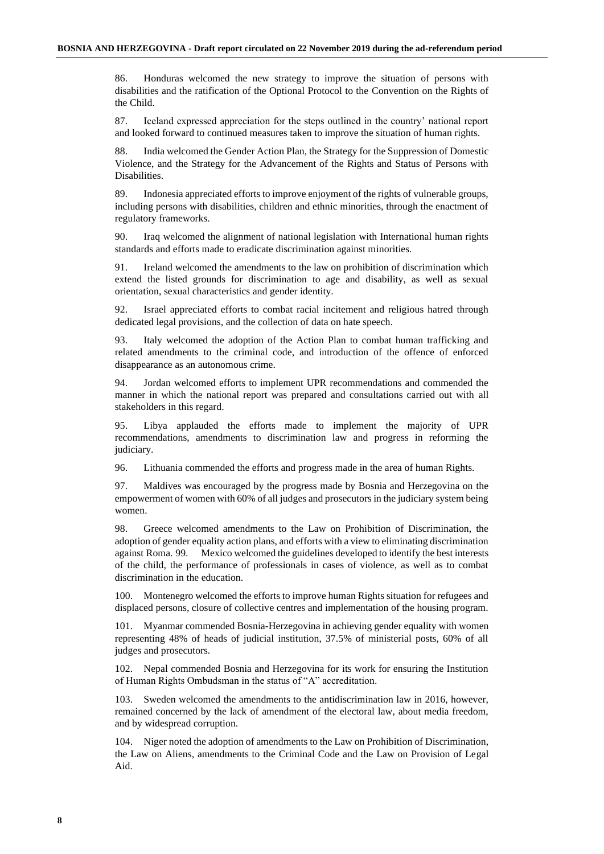86. Honduras welcomed the new strategy to improve the situation of persons with disabilities and the ratification of the Optional Protocol to the Convention on the Rights of the Child.

87. Iceland expressed appreciation for the steps outlined in the country' national report and looked forward to continued measures taken to improve the situation of human rights.

88. India welcomed the Gender Action Plan, the Strategy for the Suppression of Domestic Violence, and the Strategy for the Advancement of the Rights and Status of Persons with Disabilities.

89. Indonesia appreciated efforts to improve enjoyment of the rights of vulnerable groups, including persons with disabilities, children and ethnic minorities, through the enactment of regulatory frameworks.

90. Iraq welcomed the alignment of national legislation with International human rights standards and efforts made to eradicate discrimination against minorities.

91. Ireland welcomed the amendments to the law on prohibition of discrimination which extend the listed grounds for discrimination to age and disability, as well as sexual orientation, sexual characteristics and gender identity.

92. Israel appreciated efforts to combat racial incitement and religious hatred through dedicated legal provisions, and the collection of data on hate speech.

93. Italy welcomed the adoption of the Action Plan to combat human trafficking and related amendments to the criminal code, and introduction of the offence of enforced disappearance as an autonomous crime.

94. Jordan welcomed efforts to implement UPR recommendations and commended the manner in which the national report was prepared and consultations carried out with all stakeholders in this regard.

95. Libya applauded the efforts made to implement the majority of UPR recommendations, amendments to discrimination law and progress in reforming the judiciary.

96. Lithuania commended the efforts and progress made in the area of human Rights.

97. Maldives was encouraged by the progress made by Bosnia and Herzegovina on the empowerment of women with 60% of all judges and prosecutors in the judiciary system being women.

98. Greece welcomed amendments to the Law on Prohibition of Discrimination, the adoption of gender equality action plans, and efforts with a view to eliminating discrimination against Roma. 99. Mexico welcomed the guidelines developed to identify the best interests of the child, the performance of professionals in cases of violence, as well as to combat discrimination in the education.

100. Montenegro welcomed the efforts to improve human Rights situation for refugees and displaced persons, closure of collective centres and implementation of the housing program.

101. Myanmar commended Bosnia-Herzegovina in achieving gender equality with women representing 48% of heads of judicial institution, 37.5% of ministerial posts, 60% of all judges and prosecutors.

102. Nepal commended Bosnia and Herzegovina for its work for ensuring the Institution of Human Rights Ombudsman in the status of "A" accreditation.

103. Sweden welcomed the amendments to the antidiscrimination law in 2016, however, remained concerned by the lack of amendment of the electoral law, about media freedom, and by widespread corruption.

104. Niger noted the adoption of amendments to the Law on Prohibition of Discrimination, the Law on Aliens, amendments to the Criminal Code and the Law on Provision of Legal Aid.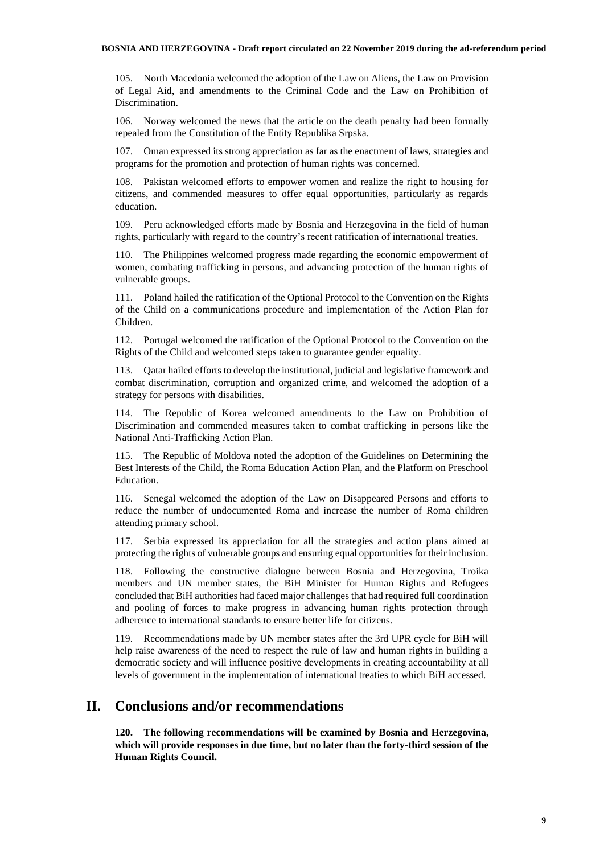105. North Macedonia welcomed the adoption of the Law on Aliens, the Law on Provision of Legal Aid, and amendments to the Criminal Code and the Law on Prohibition of Discrimination.

106. Norway welcomed the news that the article on the death penalty had been formally repealed from the Constitution of the Entity Republika Srpska.

107. Oman expressed its strong appreciation as far as the enactment of laws, strategies and programs for the promotion and protection of human rights was concerned.

108. Pakistan welcomed efforts to empower women and realize the right to housing for citizens, and commended measures to offer equal opportunities, particularly as regards education.

109. Peru acknowledged efforts made by Bosnia and Herzegovina in the field of human rights, particularly with regard to the country's recent ratification of international treaties.

110. The Philippines welcomed progress made regarding the economic empowerment of women, combating trafficking in persons, and advancing protection of the human rights of vulnerable groups.

111. Poland hailed the ratification of the Optional Protocol to the Convention on the Rights of the Child on a communications procedure and implementation of the Action Plan for Children.

112. Portugal welcomed the ratification of the Optional Protocol to the Convention on the Rights of the Child and welcomed steps taken to guarantee gender equality.

113. Qatar hailed efforts to develop the institutional, judicial and legislative framework and combat discrimination, corruption and organized crime, and welcomed the adoption of a strategy for persons with disabilities.

114. The Republic of Korea welcomed amendments to the Law on Prohibition of Discrimination and commended measures taken to combat trafficking in persons like the National Anti-Trafficking Action Plan.

115. The Republic of Moldova noted the adoption of the Guidelines on Determining the Best Interests of the Child, the Roma Education Action Plan, and the Platform on Preschool Education.

116. Senegal welcomed the adoption of the Law on Disappeared Persons and efforts to reduce the number of undocumented Roma and increase the number of Roma children attending primary school.

117. Serbia expressed its appreciation for all the strategies and action plans aimed at protecting the rights of vulnerable groups and ensuring equal opportunities for their inclusion.

118. Following the constructive dialogue between Bosnia and Herzegovina, Troika members and UN member states, the BiH Minister for Human Rights and Refugees concluded that BiH authorities had faced major challenges that had required full coordination and pooling of forces to make progress in advancing human rights protection through adherence to international standards to ensure better life for citizens.

119. Recommendations made by UN member states after the 3rd UPR cycle for BiH will help raise awareness of the need to respect the rule of law and human rights in building a democratic society and will influence positive developments in creating accountability at all levels of government in the implementation of international treaties to which BiH accessed.

# **II. Conclusions and/or recommendations**

**120. The following recommendations will be examined by Bosnia and Herzegovina, which will provide responses in due time, but no later than the forty-third session of the Human Rights Council.**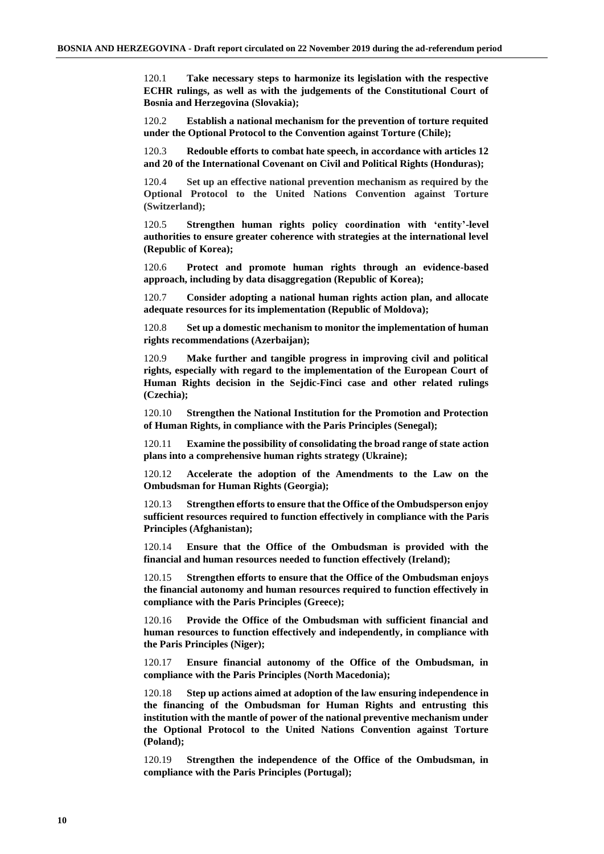120.1 **Take necessary steps to harmonize its legislation with the respective ECHR rulings, as well as with the judgements of the Constitutional Court of Bosnia and Herzegovina (Slovakia);**

120.2 **Establish a national mechanism for the prevention of torture requited under the Optional Protocol to the Convention against Torture (Chile);**

120.3 **Redouble efforts to combat hate speech, in accordance with articles 12 and 20 of the International Covenant on Civil and Political Rights (Honduras);**

120.4 **Set up an effective national prevention mechanism as required by the Optional Protocol to the United Nations Convention against Torture (Switzerland);** 

120.5 **Strengthen human rights policy coordination with 'entity'-level authorities to ensure greater coherence with strategies at the international level (Republic of Korea);**

120.6 **Protect and promote human rights through an evidence-based approach, including by data disaggregation (Republic of Korea);**

120.7 **Consider adopting a national human rights action plan, and allocate adequate resources for its implementation (Republic of Moldova);**

120.8 **Set up a domestic mechanism to monitor the implementation of human rights recommendations (Azerbaijan);** 

120.9 **Make further and tangible progress in improving civil and political rights, especially with regard to the implementation of the European Court of Human Rights decision in the Sejdic-Finci case and other related rulings (Czechia);**

120.10 **Strengthen the National Institution for the Promotion and Protection of Human Rights, in compliance with the Paris Principles (Senegal);**

120.11 **Examine the possibility of consolidating the broad range of state action plans into a comprehensive human rights strategy (Ukraine);**

120.12 **Accelerate the adoption of the Amendments to the Law on the Ombudsman for Human Rights (Georgia);**

120.13 **Strengthen efforts to ensure that the Office of the Ombudsperson enjoy sufficient resources required to function effectively in compliance with the Paris Principles (Afghanistan);**

120.14 **Ensure that the Office of the Ombudsman is provided with the financial and human resources needed to function effectively (Ireland);**

120.15 **Strengthen efforts to ensure that the Office of the Ombudsman enjoys the financial autonomy and human resources required to function effectively in compliance with the Paris Principles (Greece);**

120.16 **Provide the Office of the Ombudsman with sufficient financial and human resources to function effectively and independently, in compliance with the Paris Principles (Niger);**

120.17 **Ensure financial autonomy of the Office of the Ombudsman, in compliance with the Paris Principles (North Macedonia);**

120.18 **Step up actions aimed at adoption of the law ensuring independence in the financing of the Ombudsman for Human Rights and entrusting this institution with the mantle of power of the national preventive mechanism under the Optional Protocol to the United Nations Convention against Torture (Poland);**

120.19 **Strengthen the independence of the Office of the Ombudsman, in compliance with the Paris Principles (Portugal);**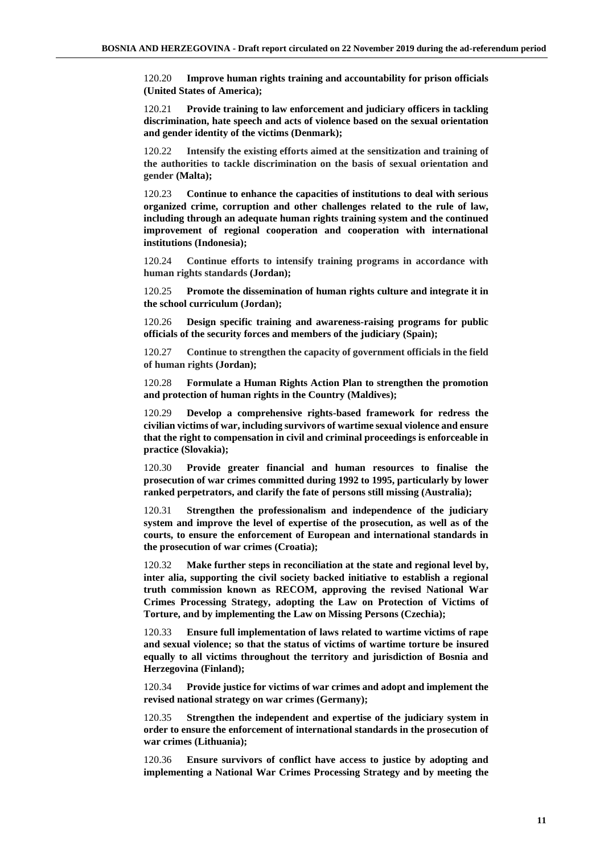120.20 **Improve human rights training and accountability for prison officials (United States of America);**

120.21 **Provide training to law enforcement and judiciary officers in tackling discrimination, hate speech and acts of violence based on the sexual orientation and gender identity of the victims (Denmark);**

120.22 **Intensify the existing efforts aimed at the sensitization and training of the authorities to tackle discrimination on the basis of sexual orientation and gender (Malta);**

120.23 **Continue to enhance the capacities of institutions to deal with serious organized crime, corruption and other challenges related to the rule of law, including through an adequate human rights training system and the continued improvement of regional cooperation and cooperation with international institutions (Indonesia);**

120.24 **Continue efforts to intensify training programs in accordance with human rights standards (Jordan);**

120.25 **Promote the dissemination of human rights culture and integrate it in the school curriculum (Jordan);**

120.26 **Design specific training and awareness-raising programs for public officials of the security forces and members of the judiciary (Spain);**

120.27 **Continue to strengthen the capacity of government officials in the field of human rights (Jordan);**

120.28 **Formulate a Human Rights Action Plan to strengthen the promotion and protection of human rights in the Country (Maldives);**

120.29 **Develop a comprehensive rights-based framework for redress the civilian victims of war, including survivors of wartime sexual violence and ensure that the right to compensation in civil and criminal proceedings is enforceable in practice (Slovakia);**

120.30 **Provide greater financial and human resources to finalise the prosecution of war crimes committed during 1992 to 1995, particularly by lower ranked perpetrators, and clarify the fate of persons still missing (Australia);**

120.31 **Strengthen the professionalism and independence of the judiciary system and improve the level of expertise of the prosecution, as well as of the courts, to ensure the enforcement of European and international standards in the prosecution of war crimes (Croatia);**

120.32 **Make further steps in reconciliation at the state and regional level by, inter alia, supporting the civil society backed initiative to establish a regional truth commission known as RECOM, approving the revised National War Crimes Processing Strategy, adopting the Law on Protection of Victims of Torture, and by implementing the Law on Missing Persons (Czechia);**

120.33 **Ensure full implementation of laws related to wartime victims of rape and sexual violence; so that the status of victims of wartime torture be insured equally to all victims throughout the territory and jurisdiction of Bosnia and Herzegovina (Finland);**

120.34 **Provide justice for victims of war crimes and adopt and implement the revised national strategy on war crimes (Germany);**

120.35 **Strengthen the independent and expertise of the judiciary system in order to ensure the enforcement of international standards in the prosecution of war crimes (Lithuania);**

120.36 **Ensure survivors of conflict have access to justice by adopting and implementing a National War Crimes Processing Strategy and by meeting the**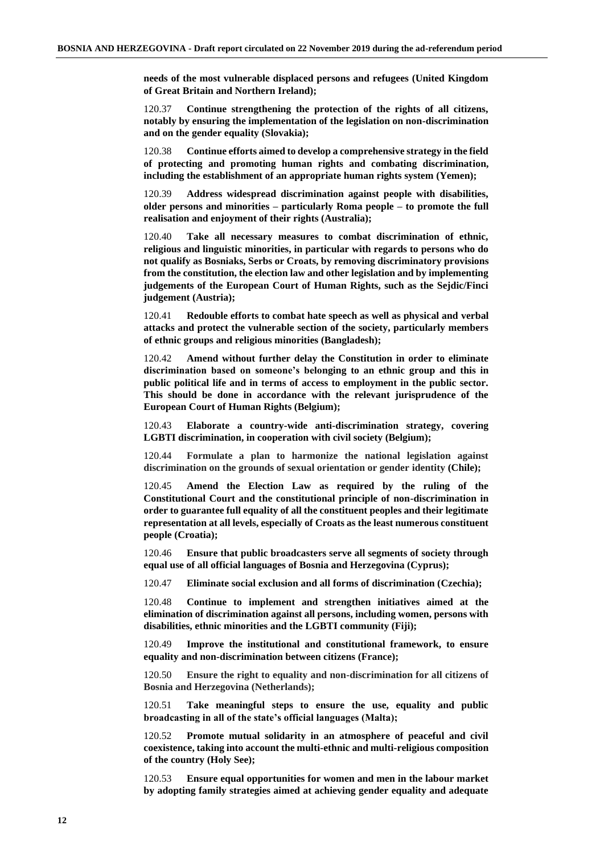**needs of the most vulnerable displaced persons and refugees (United Kingdom of Great Britain and Northern Ireland);**

120.37 **Continue strengthening the protection of the rights of all citizens, notably by ensuring the implementation of the legislation on non-discrimination and on the gender equality (Slovakia);**

120.38 **Continue efforts aimed to develop a comprehensive strategy in the field of protecting and promoting human rights and combating discrimination, including the establishment of an appropriate human rights system (Yemen);**

120.39 **Address widespread discrimination against people with disabilities, older persons and minorities – particularly Roma people – to promote the full realisation and enjoyment of their rights (Australia);**

120.40 **Take all necessary measures to combat discrimination of ethnic, religious and linguistic minorities, in particular with regards to persons who do not qualify as Bosniaks, Serbs or Croats, by removing discriminatory provisions from the constitution, the election law and other legislation and by implementing judgements of the European Court of Human Rights, such as the Sejdic/Finci judgement (Austria);**

120.41 **Redouble efforts to combat hate speech as well as physical and verbal attacks and protect the vulnerable section of the society, particularly members of ethnic groups and religious minorities (Bangladesh);**

120.42 **Amend without further delay the Constitution in order to eliminate discrimination based on someone's belonging to an ethnic group and this in public political life and in terms of access to employment in the public sector. This should be done in accordance with the relevant jurisprudence of the European Court of Human Rights (Belgium);**

120.43 **Elaborate a country-wide anti-discrimination strategy, covering LGBTI discrimination, in cooperation with civil society (Belgium);**

120.44 **Formulate a plan to harmonize the national legislation against discrimination on the grounds of sexual orientation or gender identity (Chile);**

120.45 **Amend the Election Law as required by the ruling of the Constitutional Court and the constitutional principle of non-discrimination in order to guarantee full equality of all the constituent peoples and their legitimate representation at all levels, especially of Croats as the least numerous constituent people (Croatia);**

120.46 **Ensure that public broadcasters serve all segments of society through equal use of all official languages of Bosnia and Herzegovina (Cyprus);**

120.47 **Eliminate social exclusion and all forms of discrimination (Czechia);**

120.48 **Continue to implement and strengthen initiatives aimed at the elimination of discrimination against all persons, including women, persons with disabilities, ethnic minorities and the LGBTI community (Fiji);**

120.49 **Improve the institutional and constitutional framework, to ensure equality and non-discrimination between citizens (France);**

120.50 **Ensure the right to equality and non-discrimination for all citizens of Bosnia and Herzegovina (Netherlands);**

120.51 **Take meaningful steps to ensure the use, equality and public broadcasting in all of the state's official languages (Malta);**

120.52 **Promote mutual solidarity in an atmosphere of peaceful and civil coexistence, taking into account the multi-ethnic and multi-religious composition of the country (Holy See);**

120.53 **Ensure equal opportunities for women and men in the labour market by adopting family strategies aimed at achieving gender equality and adequate**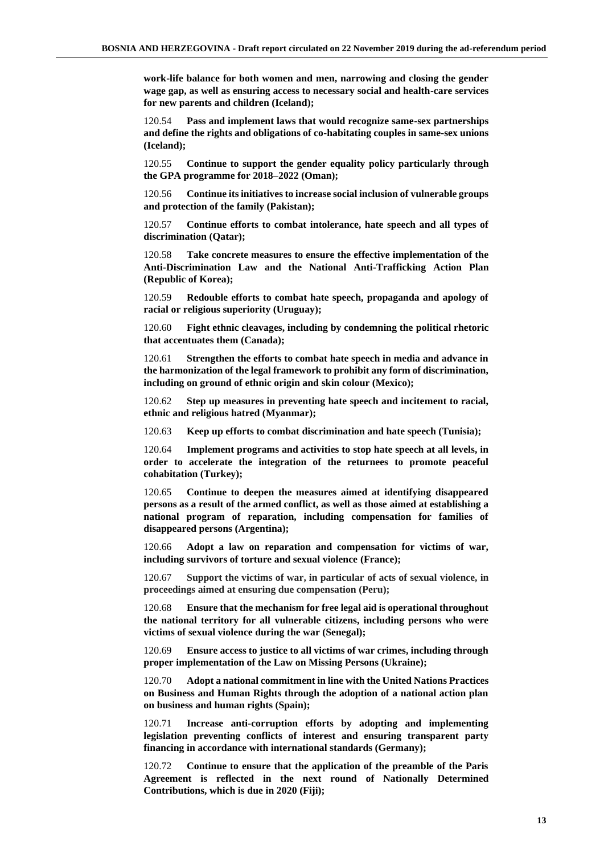**work-life balance for both women and men, narrowing and closing the gender wage gap, as well as ensuring access to necessary social and health-care services for new parents and children (Iceland);**

120.54 **Pass and implement laws that would recognize same-sex partnerships and define the rights and obligations of co-habitating couples in same-sex unions (Iceland);**

120.55 **Continue to support the gender equality policy particularly through the GPA programme for 2018–2022 (Oman);**

120.56 **Continue its initiatives to increase social inclusion of vulnerable groups and protection of the family (Pakistan);**

120.57 **Continue efforts to combat intolerance, hate speech and all types of discrimination (Qatar);**

120.58 **Take concrete measures to ensure the effective implementation of the Anti-Discrimination Law and the National Anti-Trafficking Action Plan (Republic of Korea);**

120.59 **Redouble efforts to combat hate speech, propaganda and apology of racial or religious superiority (Uruguay);**

120.60 **Fight ethnic cleavages, including by condemning the political rhetoric that accentuates them (Canada);**

120.61 **Strengthen the efforts to combat hate speech in media and advance in the harmonization of the legal framework to prohibit any form of discrimination, including on ground of ethnic origin and skin colour (Mexico);**

120.62 **Step up measures in preventing hate speech and incitement to racial, ethnic and religious hatred (Myanmar);**

120.63 **Keep up efforts to combat discrimination and hate speech (Tunisia);**

120.64 **Implement programs and activities to stop hate speech at all levels, in order to accelerate the integration of the returnees to promote peaceful cohabitation (Turkey);**

120.65 **Continue to deepen the measures aimed at identifying disappeared persons as a result of the armed conflict, as well as those aimed at establishing a national program of reparation, including compensation for families of disappeared persons (Argentina);**

120.66 **Adopt a law on reparation and compensation for victims of war, including survivors of torture and sexual violence (France);**

120.67 **Support the victims of war, in particular of acts of sexual violence, in proceedings aimed at ensuring due compensation (Peru);**

120.68 **Ensure that the mechanism for free legal aid is operational throughout the national territory for all vulnerable citizens, including persons who were victims of sexual violence during the war (Senegal);**

120.69 **Ensure access to justice to all victims of war crimes, including through proper implementation of the Law on Missing Persons (Ukraine);**

120.70 **Adopt a national commitment in line with the United Nations Practices on Business and Human Rights through the adoption of a national action plan on business and human rights (Spain);**

120.71 **Increase anti-corruption efforts by adopting and implementing legislation preventing conflicts of interest and ensuring transparent party financing in accordance with international standards (Germany);**

120.72 **Continue to ensure that the application of the preamble of the Paris Agreement is reflected in the next round of Nationally Determined Contributions, which is due in 2020 (Fiji);**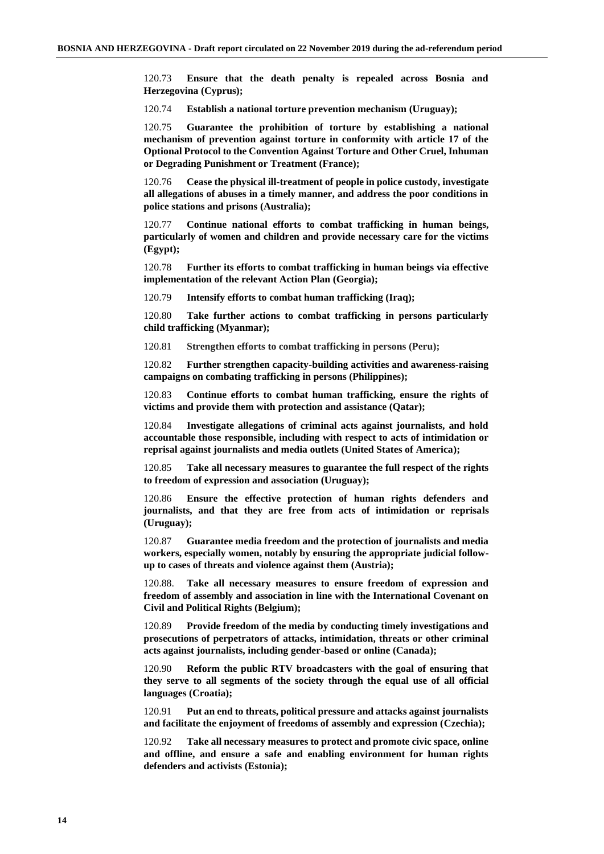120.73 **Ensure that the death penalty is repealed across Bosnia and Herzegovina (Cyprus);**

120.74 **Establish a national torture prevention mechanism (Uruguay);**

120.75 **Guarantee the prohibition of torture by establishing a national mechanism of prevention against torture in conformity with article 17 of the Optional Protocol to the Convention Against Torture and Other Cruel, Inhuman or Degrading Punishment or Treatment (France);**

120.76 **Cease the physical ill-treatment of people in police custody, investigate all allegations of abuses in a timely manner, and address the poor conditions in police stations and prisons (Australia);**

120.77 **Continue national efforts to combat trafficking in human beings, particularly of women and children and provide necessary care for the victims (Egypt);**

120.78 **Further its efforts to combat trafficking in human beings via effective implementation of the relevant Action Plan (Georgia);**

120.79 **Intensify efforts to combat human trafficking (Iraq);**

120.80 **Take further actions to combat trafficking in persons particularly child trafficking (Myanmar);**

120.81 **Strengthen efforts to combat trafficking in persons (Peru);**

120.82 **Further strengthen capacity-building activities and awareness-raising campaigns on combating trafficking in persons (Philippines);**

120.83 **Continue efforts to combat human trafficking, ensure the rights of victims and provide them with protection and assistance (Qatar);**

120.84 **Investigate allegations of criminal acts against journalists, and hold accountable those responsible, including with respect to acts of intimidation or reprisal against journalists and media outlets (United States of America);**

120.85 **Take all necessary measures to guarantee the full respect of the rights to freedom of expression and association (Uruguay);**

120.86 **Ensure the effective protection of human rights defenders and journalists, and that they are free from acts of intimidation or reprisals (Uruguay);**

120.87 **Guarantee media freedom and the protection of journalists and media workers, especially women, notably by ensuring the appropriate judicial followup to cases of threats and violence against them (Austria);**

120.88. **Take all necessary measures to ensure freedom of expression and freedom of assembly and association in line with the International Covenant on Civil and Political Rights (Belgium);**

120.89 **Provide freedom of the media by conducting timely investigations and prosecutions of perpetrators of attacks, intimidation, threats or other criminal acts against journalists, including gender-based or online (Canada);**

120.90 **Reform the public RTV broadcasters with the goal of ensuring that they serve to all segments of the society through the equal use of all official languages (Croatia);**

120.91 **Put an end to threats, political pressure and attacks against journalists and facilitate the enjoyment of freedoms of assembly and expression (Czechia);**

120.92 **Take all necessary measures to protect and promote civic space, online and offline, and ensure a safe and enabling environment for human rights defenders and activists (Estonia);**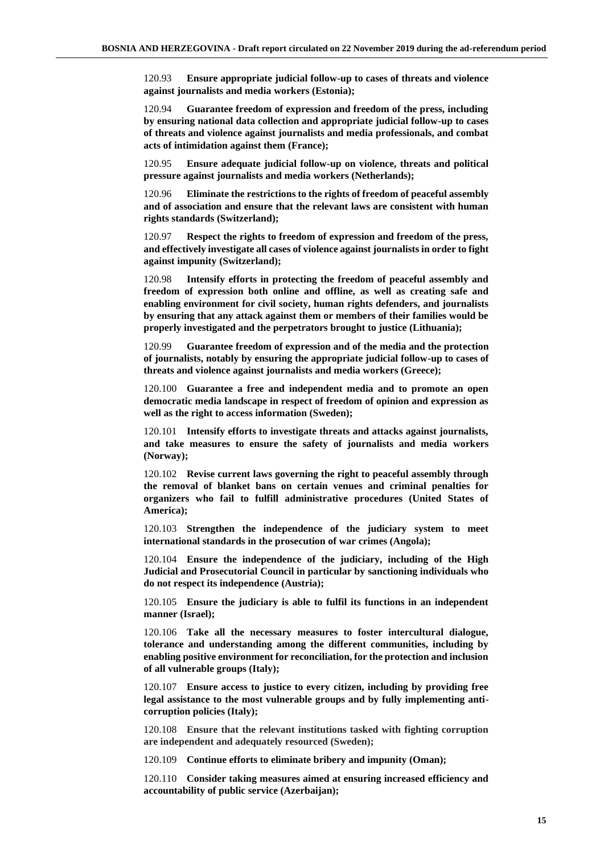120.93 **Ensure appropriate judicial follow-up to cases of threats and violence against journalists and media workers (Estonia);**

120.94 **Guarantee freedom of expression and freedom of the press, including by ensuring national data collection and appropriate judicial follow-up to cases of threats and violence against journalists and media professionals, and combat acts of intimidation against them (France);**

120.95 **Ensure adequate judicial follow-up on violence, threats and political pressure against journalists and media workers (Netherlands);**

120.96 **Eliminate the restrictions to the rights of freedom of peaceful assembly and of association and ensure that the relevant laws are consistent with human rights standards (Switzerland);**

120.97 **Respect the rights to freedom of expression and freedom of the press, and effectively investigate all cases of violence against journalists in order to fight against impunity (Switzerland);**

120.98 **Intensify efforts in protecting the freedom of peaceful assembly and freedom of expression both online and offline, as well as creating safe and enabling environment for civil society, human rights defenders, and journalists by ensuring that any attack against them or members of their families would be properly investigated and the perpetrators brought to justice (Lithuania);**

120.99 **Guarantee freedom of expression and of the media and the protection of journalists, notably by ensuring the appropriate judicial follow-up to cases of threats and violence against journalists and media workers (Greece);**

120.100 **Guarantee a free and independent media and to promote an open democratic media landscape in respect of freedom of opinion and expression as well as the right to access information (Sweden);**

120.101 **Intensify efforts to investigate threats and attacks against journalists, and take measures to ensure the safety of journalists and media workers (Norway);**

120.102 **Revise current laws governing the right to peaceful assembly through the removal of blanket bans on certain venues and criminal penalties for organizers who fail to fulfill administrative procedures (United States of America);**

120.103 **Strengthen the independence of the judiciary system to meet international standards in the prosecution of war crimes (Angola);**

120.104 **Ensure the independence of the judiciary, including of the High Judicial and Prosecutorial Council in particular by sanctioning individuals who do not respect its independence (Austria);**

120.105 **Ensure the judiciary is able to fulfil its functions in an independent manner (Israel);**

120.106 **Take all the necessary measures to foster intercultural dialogue, tolerance and understanding among the different communities, including by enabling positive environment for reconciliation, for the protection and inclusion of all vulnerable groups (Italy);**

120.107 **Ensure access to justice to every citizen, including by providing free legal assistance to the most vulnerable groups and by fully implementing anticorruption policies (Italy);**

120.108 **Ensure that the relevant institutions tasked with fighting corruption are independent and adequately resourced (Sweden);**

120.109 **Continue efforts to eliminate bribery and impunity (Oman);**

120.110 **Consider taking measures aimed at ensuring increased efficiency and accountability of public service (Azerbaijan);**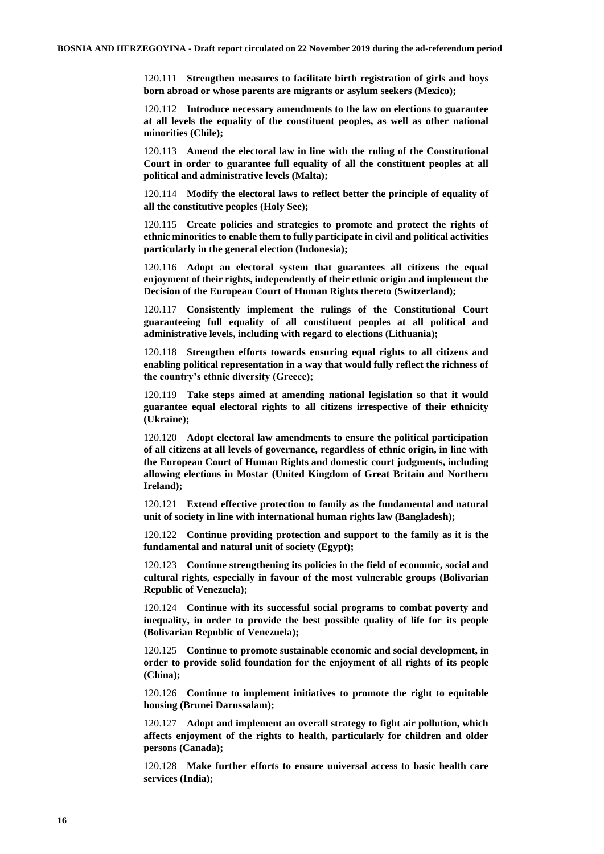120.111 **Strengthen measures to facilitate birth registration of girls and boys born abroad or whose parents are migrants or asylum seekers (Mexico);**

120.112 **Introduce necessary amendments to the law on elections to guarantee at all levels the equality of the constituent peoples, as well as other national minorities (Chile);**

120.113 **Amend the electoral law in line with the ruling of the Constitutional Court in order to guarantee full equality of all the constituent peoples at all political and administrative levels (Malta);**

120.114 **Modify the electoral laws to reflect better the principle of equality of all the constitutive peoples (Holy See);**

120.115 **Create policies and strategies to promote and protect the rights of ethnic minorities to enable them to fully participate in civil and political activities particularly in the general election (Indonesia);**

120.116 **Adopt an electoral system that guarantees all citizens the equal enjoyment of their rights, independently of their ethnic origin and implement the Decision of the European Court of Human Rights thereto (Switzerland);**

120.117 **Consistently implement the rulings of the Constitutional Court guaranteeing full equality of all constituent peoples at all political and administrative levels, including with regard to elections (Lithuania);**

120.118 **Strengthen efforts towards ensuring equal rights to all citizens and enabling political representation in a way that would fully reflect the richness of the country's ethnic diversity (Greece);**

120.119 **Take steps aimed at amending national legislation so that it would guarantee equal electoral rights to all citizens irrespective of their ethnicity (Ukraine);**

120.120 **Adopt electoral law amendments to ensure the political participation of all citizens at all levels of governance, regardless of ethnic origin, in line with the European Court of Human Rights and domestic court judgments, including allowing elections in Mostar (United Kingdom of Great Britain and Northern Ireland);**

120.121 **Extend effective protection to family as the fundamental and natural unit of society in line with international human rights law (Bangladesh);**

120.122 **Continue providing protection and support to the family as it is the fundamental and natural unit of society (Egypt);**

120.123 **Continue strengthening its policies in the field of economic, social and cultural rights, especially in favour of the most vulnerable groups (Bolivarian Republic of Venezuela);**

120.124 **Continue with its successful social programs to combat poverty and inequality, in order to provide the best possible quality of life for its people (Bolivarian Republic of Venezuela);**

120.125 **Continue to promote sustainable economic and social development, in order to provide solid foundation for the enjoyment of all rights of its people (China);**

120.126 **Continue to implement initiatives to promote the right to equitable housing (Brunei Darussalam);**

120.127 **Adopt and implement an overall strategy to fight air pollution, which affects enjoyment of the rights to health, particularly for children and older persons (Canada);**

120.128 **Make further efforts to ensure universal access to basic health care services (India);**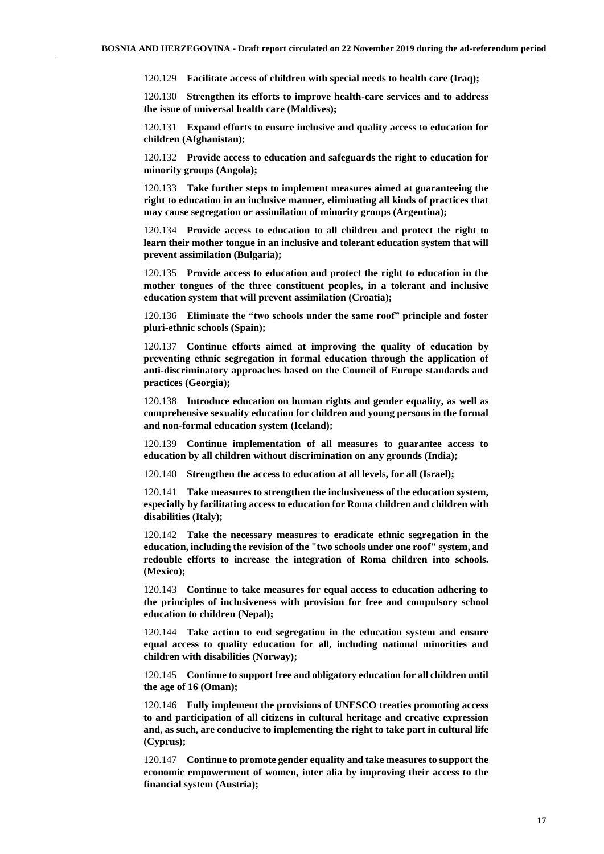120.129 **Facilitate access of children with special needs to health care (Iraq);**

120.130 **Strengthen its efforts to improve health-care services and to address the issue of universal health care (Maldives);**

120.131 **Expand efforts to ensure inclusive and quality access to education for children (Afghanistan);**

120.132 **Provide access to education and safeguards the right to education for minority groups (Angola);**

120.133 **Take further steps to implement measures aimed at guaranteeing the right to education in an inclusive manner, eliminating all kinds of practices that may cause segregation or assimilation of minority groups (Argentina);**

120.134 **Provide access to education to all children and protect the right to learn their mother tongue in an inclusive and tolerant education system that will prevent assimilation (Bulgaria);**

120.135 **Provide access to education and protect the right to education in the mother tongues of the three constituent peoples, in a tolerant and inclusive education system that will prevent assimilation (Croatia);**

120.136 **Eliminate the "two schools under the same roof" principle and foster pluri-ethnic schools (Spain);**

120.137 **Continue efforts aimed at improving the quality of education by preventing ethnic segregation in formal education through the application of anti-discriminatory approaches based on the Council of Europe standards and practices (Georgia);**

120.138 **Introduce education on human rights and gender equality, as well as comprehensive sexuality education for children and young persons in the formal and non-formal education system (Iceland);**

120.139 **Continue implementation of all measures to guarantee access to education by all children without discrimination on any grounds (India);**

120.140 **Strengthen the access to education at all levels, for all (Israel);**

120.141 **Take measures to strengthen the inclusiveness of the education system, especially by facilitating access to education for Roma children and children with disabilities (Italy);**

120.142 **Take the necessary measures to eradicate ethnic segregation in the education, including the revision of the "two schools under one roof" system, and redouble efforts to increase the integration of Roma children into schools. (Mexico);**

120.143 **Continue to take measures for equal access to education adhering to the principles of inclusiveness with provision for free and compulsory school education to children (Nepal);**

120.144 **Take action to end segregation in the education system and ensure equal access to quality education for all, including national minorities and children with disabilities (Norway);**

120.145 **Continue to support free and obligatory education for all children until the age of 16 (Oman);**

120.146 **Fully implement the provisions of UNESCO treaties promoting access to and participation of all citizens in cultural heritage and creative expression and, as such, are conducive to implementing the right to take part in cultural life (Cyprus);**

120.147 **Continue to promote gender equality and take measures to support the economic empowerment of women, inter alia by improving their access to the financial system (Austria);**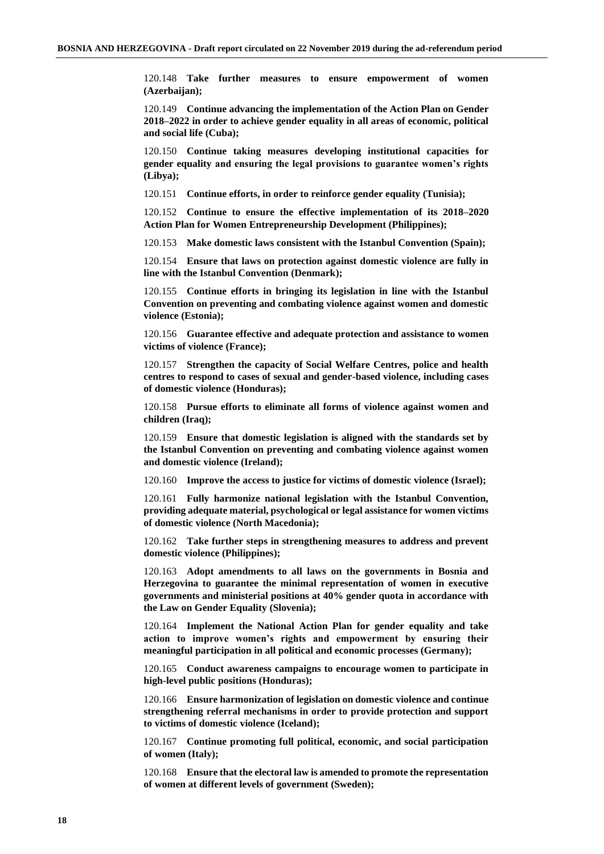120.148 **Take further measures to ensure empowerment of women (Azerbaijan);**

120.149 **Continue advancing the implementation of the Action Plan on Gender 2018–2022 in order to achieve gender equality in all areas of economic, political and social life (Cuba);**

120.150 **Continue taking measures developing institutional capacities for gender equality and ensuring the legal provisions to guarantee women's rights (Libya);**

120.151 **Continue efforts, in order to reinforce gender equality (Tunisia);**

120.152 **Continue to ensure the effective implementation of its 2018–2020 Action Plan for Women Entrepreneurship Development (Philippines);**

120.153 **Make domestic laws consistent with the Istanbul Convention (Spain);**

120.154 **Ensure that laws on protection against domestic violence are fully in line with the Istanbul Convention (Denmark);**

120.155 **Continue efforts in bringing its legislation in line with the Istanbul Convention on preventing and combating violence against women and domestic violence (Estonia);**

120.156 **Guarantee effective and adequate protection and assistance to women victims of violence (France);**

120.157 **Strengthen the capacity of Social Welfare Centres, police and health centres to respond to cases of sexual and gender-based violence, including cases of domestic violence (Honduras);**

120.158 **Pursue efforts to eliminate all forms of violence against women and children (Iraq);**

120.159 **Ensure that domestic legislation is aligned with the standards set by the Istanbul Convention on preventing and combating violence against women and domestic violence (Ireland);**

120.160 **Improve the access to justice for victims of domestic violence (Israel);**

120.161 **Fully harmonize national legislation with the Istanbul Convention, providing adequate material, psychological or legal assistance for women victims of domestic violence (North Macedonia);**

120.162 **Take further steps in strengthening measures to address and prevent domestic violence (Philippines);**

120.163 **Adopt amendments to all laws on the governments in Bosnia and Herzegovina to guarantee the minimal representation of women in executive governments and ministerial positions at 40% gender quota in accordance with the Law on Gender Equality (Slovenia);**

120.164 **Implement the National Action Plan for gender equality and take action to improve women's rights and empowerment by ensuring their meaningful participation in all political and economic processes (Germany);**

120.165 **Conduct awareness campaigns to encourage women to participate in high-level public positions (Honduras);**

120.166 **Ensure harmonization of legislation on domestic violence and continue strengthening referral mechanisms in order to provide protection and support to victims of domestic violence (Iceland);**

120.167 **Continue promoting full political, economic, and social participation of women (Italy);**

120.168 **Ensure that the electoral law is amended to promote the representation of women at different levels of government (Sweden);**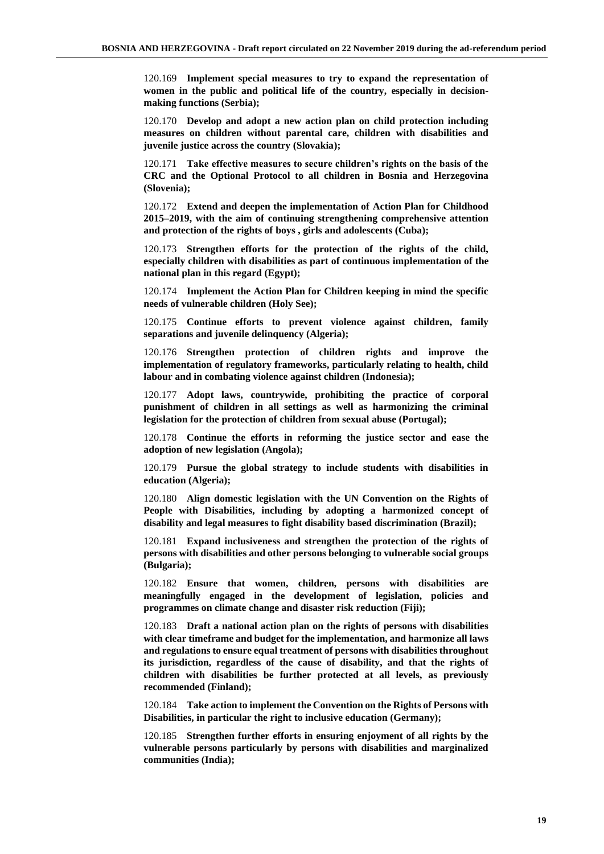120.169 **Implement special measures to try to expand the representation of women in the public and political life of the country, especially in decisionmaking functions (Serbia);**

120.170 **Develop and adopt a new action plan on child protection including measures on children without parental care, children with disabilities and juvenile justice across the country (Slovakia);**

120.171 **Take effective measures to secure children's rights on the basis of the CRC and the Optional Protocol to all children in Bosnia and Herzegovina (Slovenia);**

120.172 **Extend and deepen the implementation of Action Plan for Childhood 2015–2019, with the aim of continuing strengthening comprehensive attention and protection of the rights of boys , girls and adolescents (Cuba);**

120.173 **Strengthen efforts for the protection of the rights of the child, especially children with disabilities as part of continuous implementation of the national plan in this regard (Egypt);**

120.174 **Implement the Action Plan for Children keeping in mind the specific needs of vulnerable children (Holy See);**

120.175 **Continue efforts to prevent violence against children, family separations and juvenile delinquency (Algeria);**

120.176 **Strengthen protection of children rights and improve the implementation of regulatory frameworks, particularly relating to health, child labour and in combating violence against children (Indonesia);**

120.177 **Adopt laws, countrywide, prohibiting the practice of corporal punishment of children in all settings as well as harmonizing the criminal legislation for the protection of children from sexual abuse (Portugal);**

120.178 **Continue the efforts in reforming the justice sector and ease the adoption of new legislation (Angola);**

120.179 **Pursue the global strategy to include students with disabilities in education (Algeria);**

120.180 **Align domestic legislation with the UN Convention on the Rights of People with Disabilities, including by adopting a harmonized concept of disability and legal measures to fight disability based discrimination (Brazil);**

120.181 **Expand inclusiveness and strengthen the protection of the rights of persons with disabilities and other persons belonging to vulnerable social groups (Bulgaria);**

120.182 **Ensure that women, children, persons with disabilities are meaningfully engaged in the development of legislation, policies and programmes on climate change and disaster risk reduction (Fiji);**

120.183 **Draft a national action plan on the rights of persons with disabilities with clear timeframe and budget for the implementation, and harmonize all laws and regulations to ensure equal treatment of persons with disabilities throughout its jurisdiction, regardless of the cause of disability, and that the rights of children with disabilities be further protected at all levels, as previously recommended (Finland);**

120.184 **Take action to implement the Convention on the Rights of Persons with Disabilities, in particular the right to inclusive education (Germany);**

120.185 **Strengthen further efforts in ensuring enjoyment of all rights by the vulnerable persons particularly by persons with disabilities and marginalized communities (India);**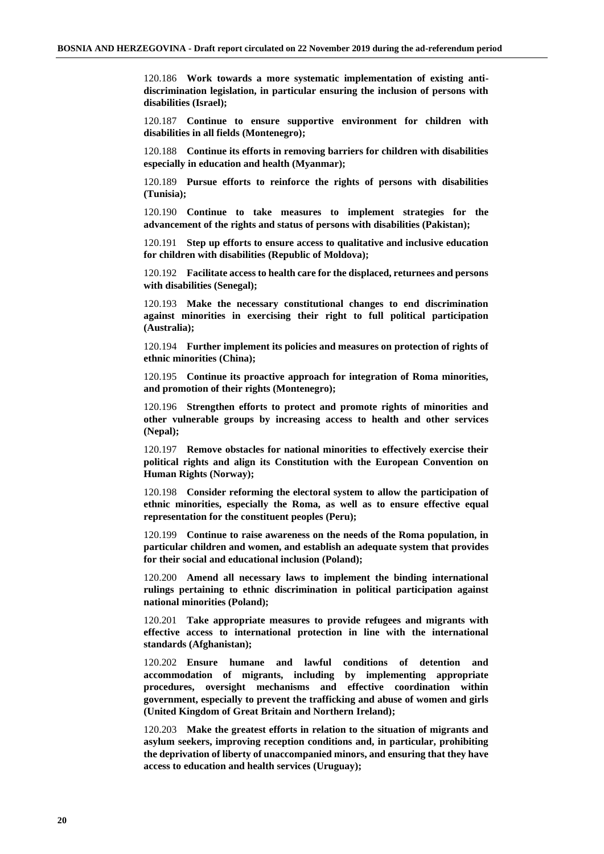120.186 **Work towards a more systematic implementation of existing antidiscrimination legislation, in particular ensuring the inclusion of persons with disabilities (Israel);**

120.187 **Continue to ensure supportive environment for children with disabilities in all fields (Montenegro);**

120.188 **Continue its efforts in removing barriers for children with disabilities especially in education and health (Myanmar);**

120.189 **Pursue efforts to reinforce the rights of persons with disabilities (Tunisia);**

120.190 **Continue to take measures to implement strategies for the advancement of the rights and status of persons with disabilities (Pakistan);**

120.191 **Step up efforts to ensure access to qualitative and inclusive education for children with disabilities (Republic of Moldova);**

120.192 **Facilitate access to health care for the displaced, returnees and persons with disabilities (Senegal);**

120.193 **Make the necessary constitutional changes to end discrimination against minorities in exercising their right to full political participation (Australia);**

120.194 **Further implement its policies and measures on protection of rights of ethnic minorities (China);**

120.195 **Continue its proactive approach for integration of Roma minorities, and promotion of their rights (Montenegro);**

120.196 **Strengthen efforts to protect and promote rights of minorities and other vulnerable groups by increasing access to health and other services (Nepal);**

120.197 **Remove obstacles for national minorities to effectively exercise their political rights and align its Constitution with the European Convention on Human Rights (Norway);**

120.198 **Consider reforming the electoral system to allow the participation of ethnic minorities, especially the Roma, as well as to ensure effective equal representation for the constituent peoples (Peru);**

120.199 **Continue to raise awareness on the needs of the Roma population, in particular children and women, and establish an adequate system that provides for their social and educational inclusion (Poland);**

120.200 **Amend all necessary laws to implement the binding international rulings pertaining to ethnic discrimination in political participation against national minorities (Poland);**

120.201 **Take appropriate measures to provide refugees and migrants with effective access to international protection in line with the international standards (Afghanistan);**

120.202 **Ensure humane and lawful conditions of detention and accommodation of migrants, including by implementing appropriate procedures, oversight mechanisms and effective coordination within government, especially to prevent the trafficking and abuse of women and girls (United Kingdom of Great Britain and Northern Ireland);**

120.203 **Make the greatest efforts in relation to the situation of migrants and asylum seekers, improving reception conditions and, in particular, prohibiting the deprivation of liberty of unaccompanied minors, and ensuring that they have access to education and health services (Uruguay);**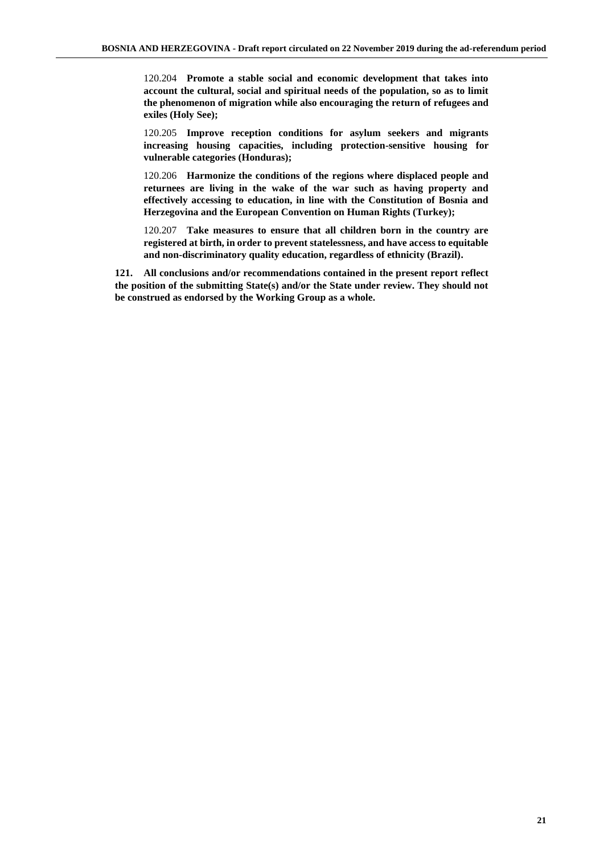120.204 **Promote a stable social and economic development that takes into account the cultural, social and spiritual needs of the population, so as to limit the phenomenon of migration while also encouraging the return of refugees and exiles (Holy See);**

120.205 **Improve reception conditions for asylum seekers and migrants increasing housing capacities, including protection-sensitive housing for vulnerable categories (Honduras);**

120.206 **Harmonize the conditions of the regions where displaced people and returnees are living in the wake of the war such as having property and effectively accessing to education, in line with the Constitution of Bosnia and Herzegovina and the European Convention on Human Rights (Turkey);**

120.207 **Take measures to ensure that all children born in the country are registered at birth, in order to prevent statelessness, and have access to equitable and non-discriminatory quality education, regardless of ethnicity (Brazil).**

**121. All conclusions and/or recommendations contained in the present report reflect the position of the submitting State(s) and/or the State under review. They should not be construed as endorsed by the Working Group as a whole.**